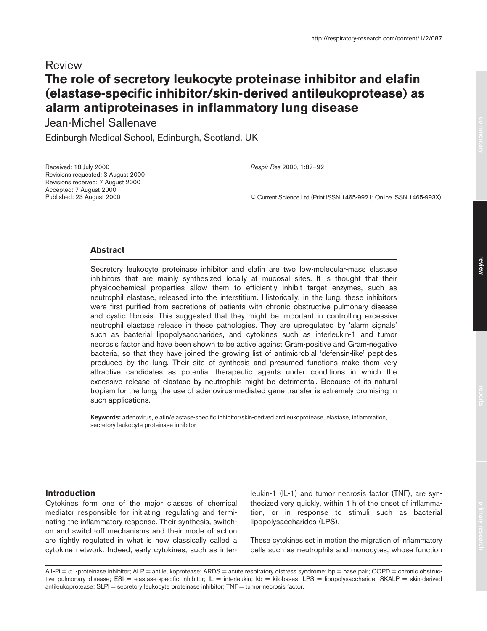# Review **The role of secretory leukocyte proteinase inhibitor and elafin (elastase-specific inhibitor/skin-derived antileukoprotease) as alarm antiproteinases in inflammatory lung disease**

Jean-Michel Sallenave

Edinburgh Medical School, Edinburgh, Scotland, UK

Received: 18 July 2000 Revisions requested: 3 August 2000 Revisions received: 7 August 2000 Accepted: 7 August 2000 Published: 23 August 2000

*Respir Res* 2000, **1**:87–92

© Current Science Ltd (Print ISSN 1465-9921; Online ISSN 1465-993X)

# **Abstract**

Secretory leukocyte proteinase inhibitor and elafin are two low-molecular-mass elastase inhibitors that are mainly synthesized locally at mucosal sites. It is thought that their physicochemical properties allow them to efficiently inhibit target enzymes, such as neutrophil elastase, released into the interstitium. Historically, in the lung, these inhibitors were first purified from secretions of patients with chronic obstructive pulmonary disease and cystic fibrosis. This suggested that they might be important in controlling excessive neutrophil elastase release in these pathologies. They are upregulated by 'alarm signals' such as bacterial lipopolysaccharides, and cytokines such as interleukin-1 and tumor necrosis factor and have been shown to be active against Gram-positive and Gram-negative bacteria, so that they have joined the growing list of antimicrobial 'defensin-like' peptides produced by the lung. Their site of synthesis and presumed functions make them very attractive candidates as potential therapeutic agents under conditions in which the excessive release of elastase by neutrophils might be detrimental. Because of its natural tropism for the lung, the use of adenovirus-mediated gene transfer is extremely promising in such applications.

**Keywords:** adenovirus, elafin/elastase-specific inhibitor/skin-derived antileukoprotease, elastase, inflammation, secretory leukocyte proteinase inhibitor

## **Introduction**

Cytokines form one of the major classes of chemical mediator responsible for initiating, regulating and terminating the inflammatory response. Their synthesis, switchon and switch-off mechanisms and their mode of action are tightly regulated in what is now classically called a cytokine network. Indeed, early cytokines, such as interleukin-1 (IL-1) and tumor necrosis factor (TNF), are synthesized very quickly, within 1 h of the onset of inflammation, or in response to stimuli such as bacterial lipopolysaccharides (LPS).

These cytokines set in motion the migration of inflammatory cells such as neutrophils and monocytes, whose function

A1-Pi = α1-proteinase inhibitor; ALP = antileukoprotease; ARDS = acute respiratory distress syndrome; bp = base pair; COPD = chronic obstructive pulmonary disease; ESI = elastase-specific inhibitor; IL = interleukin; kb = kilobases; LPS = lipopolysaccharide; SKALP = skin-derived antileukoprotease; SLPI = secretory leukocyte proteinase inhibitor; TNF = tumor necrosis factor.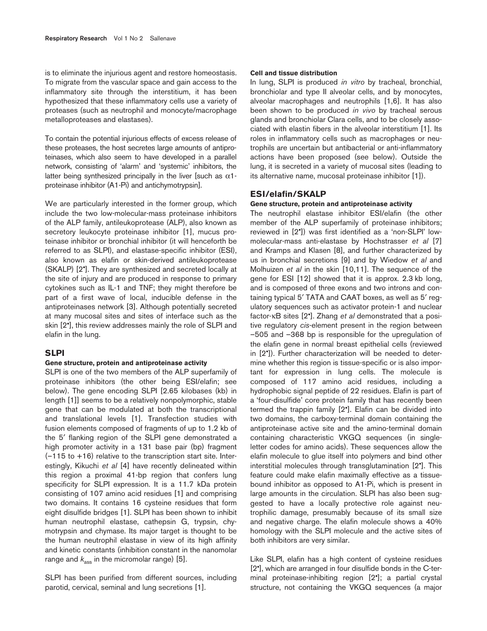is to eliminate the injurious agent and restore homeostasis. To migrate from the vascular space and gain access to the inflammatory site through the interstitium, it has been hypothesized that these inflammatory cells use a variety of proteases (such as neutrophil and monocyte/macrophage metalloproteases and elastases).

To contain the potential injurious effects of excess release of these proteases, the host secretes large amounts of antiproteinases, which also seem to have developed in a parallel network, consisting of 'alarm' and 'systemic' inhibitors, the latter being synthesized principally in the liver [such as  $\alpha$ 1proteinase inhibitor (A1-Pi) and antichymotrypsin].

We are particularly interested in the former group, which include the two low-molecular-mass proteinase inhibitors of the ALP family, antileukoprotease (ALP), also known as secretory leukocyte proteinase inhibitor [1], mucus proteinase inhibitor or bronchial inhibitor (it will henceforth be referred to as SLPI), and elastase-specific inhibitor (ESI), also known as elafin or skin-derived antileukoprotease (SKALP) [2•]. They are synthesized and secreted locally at the site of injury and are produced in response to primary cytokines such as IL-1 and TNF; they might therefore be part of a first wave of local, inducible defense in the antiproteinases network [3]. Although potentially secreted at many mucosal sites and sites of interface such as the skin [2•], this review addresses mainly the role of SLPI and elafin in the lung.

#### **SLPI**

## **Gene structure, protein and antiproteinase activity**

SLPI is one of the two members of the ALP superfamily of proteinase inhibitors (the other being ESI/elafin; see below). The gene encoding SLPI [2.65 kilobases (kb) in length [1]] seems to be a relatively nonpolymorphic, stable gene that can be modulated at both the transcriptional and translational levels [1]. Transfection studies with fusion elements composed of fragments of up to 1.2 kb of the 5′ flanking region of the SLPI gene demonstrated a high promoter activity in a 131 base pair (bp) fragment  $(-115$  to  $+16)$  relative to the transcription start site. Interestingly, Kikuchi *et al* [4] have recently delineated within this region a proximal 41-bp region that confers lung specificity for SLPI expression. It is a 11.7 kDa protein consisting of 107 amino acid residues [1] and comprising two domains. It contains 16 cysteine residues that form eight disulfide bridges [1]. SLPI has been shown to inhibit human neutrophil elastase, cathepsin G, trypsin, chymotrypsin and chymase. Its major target is thought to be the human neutrophil elastase in view of its high affinity and kinetic constants (inhibition constant in the nanomolar range and  $k_{\text{ass}}$  in the micromolar range) [5].

SLPI has been purified from different sources, including parotid, cervical, seminal and lung secretions [1].

#### **Cell and tissue distribution**

In lung, SLPI is produced *in vitro* by tracheal, bronchial, bronchiolar and type II alveolar cells, and by monocytes, alveolar macrophages and neutrophils [1,6]. It has also been shown to be produced *in vivo* by tracheal serous glands and bronchiolar Clara cells, and to be closely associated with elastin fibers in the alveolar interstitium [1]. Its roles in inflammatory cells such as macrophages or neutrophils are uncertain but antibacterial or anti-inflammatory actions have been proposed (see below). Outside the lung, it is secreted in a variety of mucosal sites (leading to its alternative name, mucosal proteinase inhibitor [1]).

# **ESI/elafin/SKALP**

## **Gene structure, protein and antiproteinase activity**

The neutrophil elastase inhibitor ESI/elafin (the other member of the ALP superfamily of proteinase inhibitors; reviewed in [2•]) was first identified as a 'non-SLPI' lowmolecular-mass anti-elastase by Hochstrasser *et al* [7] and Kramps and Klasen [8], and further characterized by us in bronchial secretions [9] and by Wiedow *et al* and Molhuizen *et al* in the skin [10,11]. The sequence of the gene for ESI [12] showed that it is approx. 2.3 kb long, and is composed of three exons and two introns and containing typical 5′ TATA and CAAT boxes, as well as 5′ regulatory sequences such as activator protein-1 and nuclear factor-κB sites [2•]. Zhang *et al* demonstrated that a positive regulatory *cis*-element present in the region between –505 and –368 bp is responsible for the upregulation of the elafin gene in normal breast epithelial cells (reviewed in [2•]). Further characterization will be needed to determine whether this region is tissue-specific or is also important for expression in lung cells. The molecule is composed of 117 amino acid residues, including a hydrophobic signal peptide of 22 residues. Elafin is part of a 'four-disulfide' core protein family that has recently been termed the trappin family [2•]. Elafin can be divided into two domains, the carboxy-terminal domain containing the antiproteinase active site and the amino-terminal domain containing characteristic VKGQ sequences (in singleletter codes for amino acids). These sequences allow the elafin molecule to glue itself into polymers and bind other interstitial molecules through transglutamination [2•]. This feature could make elafin maximally effective as a tissuebound inhibitor as opposed to A1-Pi, which is present in large amounts in the circulation. SLPI has also been suggested to have a locally protective role against neutrophilic damage, presumably because of its small size and negative charge. The elafin molecule shows a 40% homology with the SLPI molecule and the active sites of both inhibitors are very similar.

Like SLPI, elafin has a high content of cysteine residues [2•], which are arranged in four disulfide bonds in the C-terminal proteinase-inhibiting region [2•]; a partial crystal structure, not containing the VKGQ sequences (a major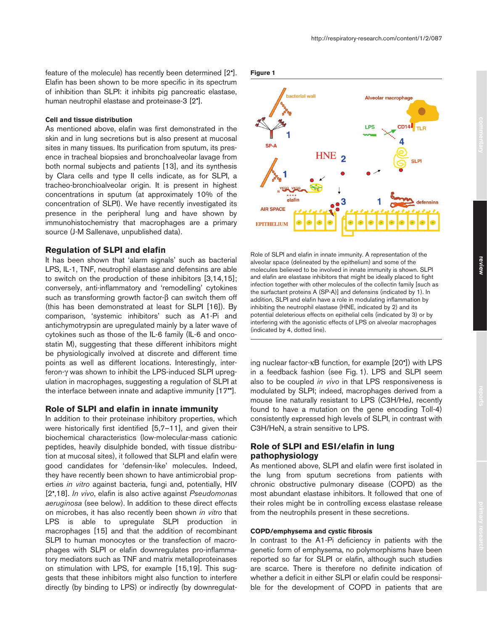feature of the molecule) has recently been determined [2•]. Elafin has been shown to be more specific in its spectrum of inhibition than SLPI: it inhibits pig pancreatic elastase, human neutrophil elastase and proteinase-3 [2•].

## **Cell and tissue distribution**

As mentioned above, elafin was first demonstrated in the skin and in lung secretions but is also present at mucosal sites in many tissues. Its purification from sputum, its presence in tracheal biopsies and bronchoalveolar lavage from both normal subjects and patients [13], and its synthesis by Clara cells and type II cells indicate, as for SLPI, a tracheo-bronchioalveolar origin. It is present in highest concentrations in sputum (at approximately 10% of the concentration of SLPI). We have recently investigated its presence in the peripheral lung and have shown by immunohistochemistry that macrophages are a primary source (J-M Sallenave, unpublished data).

#### **Regulation of SLPI and elafin**

It has been shown that 'alarm signals' such as bacterial LPS, IL-1, TNF, neutrophil elastase and defensins are able to switch on the production of these inhibitors [3,14,15]; conversely, anti-inflammatory and 'remodelling' cytokines such as transforming growth factor-β can switch them off (this has been demonstrated at least for SLPI [16]). By comparison, 'systemic inhibitors' such as A1-Pi and antichymotrypsin are upregulated mainly by a later wave of cytokines such as those of the IL-6 family (IL-6 and oncostatin M), suggesting that these different inhibitors might be physiologically involved at discrete and different time points as well as different locations. Interestingly, interferon-γ was shown to inhibit the LPS-induced SLPI upregulation in macrophages, suggesting a regulation of SLPI at the interface between innate and adaptive immunity [17••].

#### **Role of SLPI and elafin in innate immunity**

In addition to their proteinase inhibitory properties, which were historically first identified [5,7–11], and given their biochemical characteristics (low-molecular-mass cationic peptides, heavily disulphide bonded, with tissue distribution at mucosal sites), it followed that SLPI and elafin were good candidates for 'defensin-like' molecules. Indeed, they have recently been shown to have antimicrobial properties *in vitro* against bacteria, fungi and, potentially, HIV [2•,18]. *In vivo*, elafin is also active against *Pseudomonas aeruginosa* (see below). In addition to these direct effects on microbes, it has also recently been shown *in vitro* that LPS is able to upregulate SLPI production in macrophages [15] and that the addition of recombinant SLPI to human monocytes or the transfection of macrophages with SLPI or elafin downregulates pro-inflammatory mediators such as TNF and matrix metalloproteinases on stimulation with LPS, for example [15,19]. This suggests that these inhibitors might also function to interfere directly (by binding to LPS) or indirectly (by downregulat**Figure 1**



Role of SLPI and elafin in innate immunity. A representation of the alveolar space (delineated by the epithelium) and some of the molecules believed to be involved in innate immunity is shown. SLPI and elafin are elastase inhibitors that might be ideally placed to fight infection together with other molecules of the collectin family [such as the surfactant proteins A (SP-A)] and defensins (indicated by 1). In addition, SLPI and elafin have a role in modulating inflammation by inhibiting the neutrophil elastase (HNE, indicated by 2) and its potential deleterious effects on epithelial cells (indicated by 3) or by interfering with the agonistic effects of LPS on alveolar macrophages (indicated by 4, dotted line).

ing nuclear factor-κB function, for example [20•]) with LPS in a feedback fashion (see Fig. 1). LPS and SLPI seem also to be coupled *in vivo* in that LPS responsiveness is modulated by SLPI; indeed, macrophages derived from a mouse line naturally resistant to LPS (C3H/HeJ, recently found to have a mutation on the gene encoding Toll-4) consistently expressed high levels of SLPI, in contrast with C3H/HeN, a strain sensitive to LPS.

# **Role of SLPI and ESI/elafin in lung pathophysiology**

As mentioned above, SLPI and elafin were first isolated in the lung from sputum secretions from patients with chronic obstructive pulmonary disease (COPD) as the most abundant elastase inhibitors. It followed that one of their roles might be in controlling excess elastase release from the neutrophils present in these secretions.

#### **COPD/emphysema and cystic fibrosis**

In contrast to the A1-Pi deficiency in patients with the genetic form of emphysema, no polymorphisms have been reported so far for SLPI or elafin, although such studies are scarce. There is therefore no definite indication of whether a deficit in either SLPI or elafin could be responsible for the development of COPD in patients that are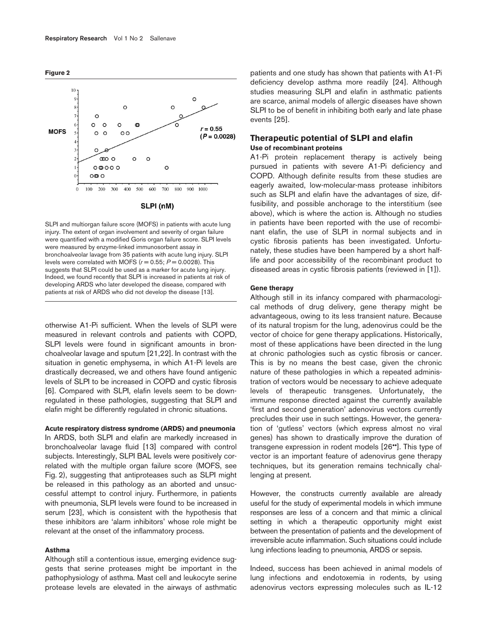**Figure 2**



SLPI and multiorgan failure score (MOFS) in patients with acute lung injury. The extent of organ involvement and severity of organ failure were quantified with a modified Goris organ failure score. SLPI levels were measured by enzyme-linked immunosorbent assay in bronchoalveolar lavage from 35 patients with acute lung injury. SLPI levels were correlated with MOFS  $(r = 0.55; P = 0.0028)$ . This suggests that SLPI could be used as a marker for acute lung injury. Indeed, we found recently that SLPI is increased in patients at risk of developing ARDS who later developed the disease, compared with patients at risk of ARDS who did not develop the disease [13].

otherwise A1-Pi sufficient. When the levels of SLPI were measured in relevant controls and patients with COPD, SLPI levels were found in significant amounts in bronchoalveolar lavage and sputum [21,22]. In contrast with the situation in genetic emphysema, in which A1-Pi levels are drastically decreased, we and others have found antigenic levels of SLPI to be increased in COPD and cystic fibrosis [6]. Compared with SLPI, elafin levels seem to be downregulated in these pathologies, suggesting that SLPI and elafin might be differently regulated in chronic situations.

#### **Acute respiratory distress syndrome (ARDS) and pneumonia**

In ARDS, both SLPI and elafin are markedly increased in bronchoalveolar lavage fluid [13] compared with control subjects. Interestingly, SLPI BAL levels were positively correlated with the multiple organ failure score (MOFS, see Fig. 2), suggesting that antiproteases such as SLPI might be released in this pathology as an aborted and unsuccessful attempt to control injury. Furthermore, in patients with pneumonia, SLPI levels were found to be increased in serum [23], which is consistent with the hypothesis that these inhibitors are 'alarm inhibitors' whose role might be relevant at the onset of the inflammatory process.

## **Asthma**

Although still a contentious issue, emerging evidence suggests that serine proteases might be important in the pathophysiology of asthma. Mast cell and leukocyte serine protease levels are elevated in the airways of asthmatic

patients and one study has shown that patients with A1-Pi deficiency develop asthma more readily [24]. Although studies measuring SLPI and elafin in asthmatic patients are scarce, animal models of allergic diseases have shown SLPI to be of benefit in inhibiting both early and late phase events [25].

# **Therapeutic potential of SLPI and elafin Use of recombinant proteins**

A1-Pi protein replacement therapy is actively being pursued in patients with severe A1-Pi deficiency and COPD. Although definite results from these studies are eagerly awaited, low-molecular-mass protease inhibitors such as SLPI and elafin have the advantages of size, diffusibility, and possible anchorage to the interstitium (see above), which is where the action is. Although no studies in patients have been reported with the use of recombinant elafin, the use of SLPI in normal subjects and in cystic fibrosis patients has been investigated. Unfortunately, these studies have been hampered by a short halflife and poor accessibility of the recombinant product to diseased areas in cystic fibrosis patients (reviewed in [1]).

#### **Gene therapy**

Although still in its infancy compared with pharmacological methods of drug delivery, gene therapy might be advantageous, owing to its less transient nature. Because of its natural tropism for the lung, adenovirus could be the vector of choice for gene therapy applications. Historically, most of these applications have been directed in the lung at chronic pathologies such as cystic fibrosis or cancer. This is by no means the best case, given the chronic nature of these pathologies in which a repeated administration of vectors would be necessary to achieve adequate levels of therapeutic transgenes. Unfortunately, the immune response directed against the currently available 'first and second generation' adenovirus vectors currently precludes their use in such settings. However, the generation of 'gutless' vectors (which express almost no viral genes) has shown to drastically improve the duration of transgene expression in rodent models [26••]. This type of vector is an important feature of adenovirus gene therapy techniques, but its generation remains technically challenging at present.

However, the constructs currently available are already useful for the study of experimental models in which immune responses are less of a concern and that mimic a clinical setting in which a therapeutic opportunity might exist between the presentation of patients and the development of irreversible acute inflammation. Such situations could include lung infections leading to pneumonia, ARDS or sepsis.

Indeed, success has been achieved in animal models of lung infections and endotoxemia in rodents, by using adenovirus vectors expressing molecules such as IL-12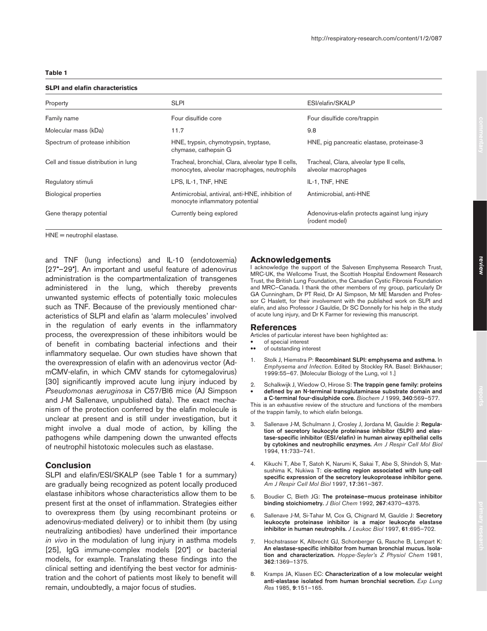#### **Table 1**

#### **SLPI and elafin characteristics**

| Property                             | <b>SLPI</b>                                                                                         | ESI/elafin/SKALP                                                 |
|--------------------------------------|-----------------------------------------------------------------------------------------------------|------------------------------------------------------------------|
| Family name                          | Four disulfide core                                                                                 | Four disulfide core/trappin                                      |
| Molecular mass (kDa)                 | 11.7                                                                                                | 9.8                                                              |
| Spectrum of protease inhibition      | HNE, trypsin, chymotrypsin, tryptase,<br>chymase, cathepsin G                                       | HNE, pig pancreatic elastase, proteinase-3                       |
| Cell and tissue distribution in lung | Tracheal, bronchial, Clara, alveolar type II cells,<br>monocytes, alveolar macrophages, neutrophils | Tracheal, Clara, alveolar type II cells,<br>alveolar macrophages |
| Regulatory stimuli                   | LPS, IL-1, TNF, HNE                                                                                 | IL-1, TNF, HNE                                                   |
| <b>Biological properties</b>         | Antimicrobial, antiviral, anti-HNE, inhibition of<br>monocyte inflammatory potential                | Antimicrobial, anti-HNE                                          |
| Gene therapy potential               | Currently being explored                                                                            | Adenovirus-elafin protects against lung injury<br>(rodent model) |
|                                      |                                                                                                     |                                                                  |

HNE = neutrophil elastase.

and TNF (lung infections) and IL-10 (endotoxemia) [27•–29•]. An important and useful feature of adenovirus administration is the compartmentalization of transgenes administered in the lung, which thereby prevents unwanted systemic effects of potentially toxic molecules such as TNF. Because of the previously mentioned characteristics of SLPI and elafin as 'alarm molecules' involved in the regulation of early events in the inflammatory process, the overexpression of these inhibitors would be of benefit in combating bacterial infections and their inflammatory sequelae. Our own studies have shown that the overexpression of elafin with an adenovirus vector (AdmCMV-elafin, in which CMV stands for cytomegalovirus) [30] significantly improved acute lung injury induced by *Pseudomonas aeruginosa* in C57/Bl6 mice (AJ Simpson and J-M Sallenave, unpublished data). The exact mechanism of the protection conferred by the elafin molecule is unclear at present and is still under investigation, but it might involve a dual mode of action, by killing the pathogens while dampening down the unwanted effects of neutrophil histotoxic molecules such as elastase.

# **Conclusion**

SLPI and elafin/ESI/SKALP (see Table 1 for a summary) are gradually being recognized as potent locally produced elastase inhibitors whose characteristics allow them to be present first at the onset of inflammation. Strategies either to overexpress them (by using recombinant proteins or adenovirus-mediated delivery) or to inhibit them (by using neutralizing antibodies) have underlined their importance *in vivo* in the modulation of lung injury in asthma models [25], IgG immune-complex models [20•] or bacterial models, for example. Translating these findings into the clinical setting and identifying the best vector for administration and the cohort of patients most likely to benefit will remain, undoubtedly, a major focus of studies.

#### **Acknowledgements**

I acknowledge the support of the Salvesen Emphysema Research Trust, MRC-UK, the Wellcome Trust, the Scottish Hospital Endowment Research Trust, the British Lung Foundation, the Canadian Cystic Fibrosis Foundation and MRC–Canada. I thank the other members of my group, particularly Dr GA Cunningham, Dr PT Reid, Dr AJ Simpson, Mr ME Marsden and Professor C Haslett, for their involvement with the published work on SLPI and elafin, and also Professor J Gauldie, Dr SC Donnelly for his help in the study of acute lung injury, and Dr K Farmer for reviewing this manuscript.

#### **References**

Articles of particular interest have been highlighted as:

- of special interest<br>• of outstanding inter-
- •• of outstanding interest
- 1. Stolk J, Hiemstra P: **Recombinant SLPI: emphysema and asthma.** In *Emphysema and Infection*. Edited by Stockley RA. Basel: Birkhauser; 1999:55–67. [Molecular Biology of the Lung, vol 1.]
- 2. Schalkwijk J, Wiedow O, Hirose S: **The trappin gene family: proteins**  • **defined by an N-terminal transglutaminase substrate domain and a C-terminal four-disulphide core.** *Biochem J* 1999, **340**:569–577.

This is an exhaustive review of the structure and functions of the members of the trappin family, to which elafin belongs.

- 3. Sallenave J-M, Schulmann J, Crosley J, Jordana M, Gauldie J: **Regulation of secretory leukocyte proteinase inhibitor (SLPI) and elastase-specific inhibitor (ESI/elafin) in human airway epithelial cells by cytokines and neutrophilic enzymes.** *Am J Respir Cell Mol Biol* 1994, **11**:733–741.
- 4. Kikuchi T, Abe T, Satoh K, Narumi K, Sakai T, Abe S, Shindoh S, Matsushima K, Nukiwa T: **cis-acting region associated with lung-cell specific expression of the secretory leukoprotease inhibitor gene.** *Am J Respir Cell Mol Biol* 1997, **17**:361–367.
- 5. Boudier C, Bieth JG: **The proteinase–mucus proteinase inhibitor binding stoichiometry.** *J Biol Chem* 1992, **267**:4370–4375.
- 6. Sallenave J-M, Si-Tahar M, Cox G, Chignard M, Gauldie J: **Secretory leukocyte proteinase inhibitor is a major leukocyte elastase inhibitor in human neutrophils.** *J Leukoc Biol* 1997, **61**:695–702.
- 7. Hochstrasser K, Albrecht GJ, Schonberger G, Rasche B, Lempart K: **An elastase-specific inhibitor from human bronchial mucus. Isolation and characterization.** *Hoppe-Seyler's Z Physiol Chem* 1981, **362**:1369–1375.
- 8. Kramps JA, Klasen EC: **Characterization of a low molecular weight anti-elastase isolated from human bronchial secretion.** *Exp Lung Res* 1985, **9**:151–165.